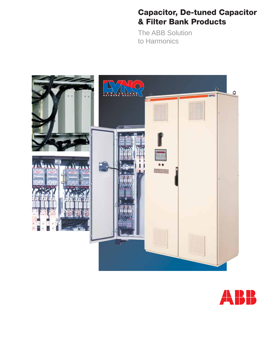### **Capacitor, De-tuned Capacitor & Filter Bank Products**

The ABB Solution to Harmonics



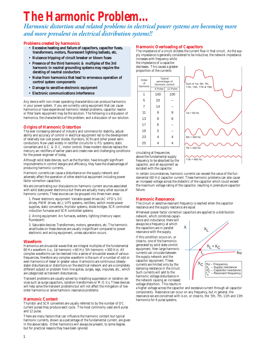# **The Harmonic Problem...**

Harmonic distortion and related problems in electrical power systems are becoming more and more prevalent in electrical distribution systems!!

#### **Problems created by harmonics**

- Excessive heating and failure of capacitors, capacitor fuses, transformers, motors, fluorescent lighting ballasts, etc.
- Nuisance tripping of circuit breaker or blown fuses
- Presence of the third harmonic & multiples of the 3rd harmonic in neutral grounding systems may require the derating of neutral conductors
- Noise from harmonics that lead to erroneous operation of control system components
- Damage to sensitive electronic equipment
- Electronic communications interference

Any device with non-linear operating characteristics can produce harmonics in your power system. If you are currently using equipment that can cause harmonics or have experienced harmonic related problems, capacitor reactor or filter bank equipment may be the solution. The following is a discussion of harmonics; the characteristics of the problem; and a discussion of our solution.

#### **Origins of Harmonic Distortion**

The ever increasing demand of industry and commerce for stability, adjustability and accuracy of control in electrical equipment led to the development of relatively low cost power diodes, thyristors, SCRs and other power semiconductors. Now used widely in rectifier circuits for U.P.S. systems, static converters and A.C. & D.C. motor control, these modern devices replace the mercury arc rectifiers of earlier years and create new and challenging conditions for the power engineer of today.

Although solid state devices, such as the thyristor, have brought significant improvements in control designs and efficiency, they have the disadvantage of producing harmonic currents.

Harmonic currents can cause a disturbance on the supply network and adversely affect the operation of other electrical equipment including power factor correction capacitors.

We are concentrating our discussions on harmonic current sources associated with solid state power electronics but there are actually many other sources of harmonic currents. These sources can be grouped into three main areas:

1. Power electronic equipment: Variable speed drives (AC VFD's, DC drives, PWM drives, etc.); UPS systems, rectifiers, switch mode power supplies, static converters, thyristor systems, diode bridges, SCR controlled induction furnaces and SCR controlled systems.

2. Arcing equipment: Arc furnaces, welders, lighting (mercury vapor, fluorescent)

3. Saturable devices: Transformers, motors, generators, etc. The harmonic amplitudes on these devices are usually insignificant compared to power electronic and arcing equipment, unless saturation occurs.

#### **Waveform**

Harmonics are sinusoidal waves that are integral multiples of the fundamental 60 Hz waveform (i.e., 1st harmonic = 60 Hz; 5th harmonic = 300 Hz). All complex waveforms can be resolved into a series of sinusoidal waves of various frequencies, therefore any complex waveform is the sum of a number of odd or even harmonics of lesser or greater value. Harmonics are continuous (steadystate) disturbances or distortions on the electrical network and are a completely different subject or problem from line spikes, surges, sags, impulses, etc., which are categorized as transient disturbances.

Transient problems are usually solved by installing suppression or isolation devices such as surge capacitors, isolation transformers or M.O.V.s. These devices will help solve the transient problems but will not affect the mitigation of low order harmonics or solve harmonic resonance problems.

#### **Harmonic Content**

Thyristor and SCR converters are usually referred to by the number of DC current pulses they produce each cycle. The most commonly used are 6 pulse and 12 pulse.

There are many factors that can influence the harmonic content but typical harmonic currents, shown as a percentage of the fundamental current, are given in the above table. Other harmonics will always be present, to some degree, but for practical reasons they have been ignored.

#### **Harmonic Overloading of Capacitors**

The impedance of a circuit dictates the current flow in that circuit. As the supply impedance is generally considered to be inductive, the network impedance increases with frequency while

the impedance of a capacitor decreases. This causes a greater proportion of the currents





circulating at frequencies above the fundamental supply frequency to be absorbed by the capacitor, and all equipment associated with the capacitor.

In certain circumstances, harmonic currents can exceed the value of the fundamental (60 Hz) capacitor current. These harmonic problems can also cause an increased voltage across the dielectric of the capacitor which could exceed the maximum voltage rating of the capacitor, resulting in premature capacitor failure.

#### **Harmonic Resonance**

The circuit or selective resonant frequency is reached when the capacitor reactance and the supply reactance are equal.

Whenever power factor correction capacitors are applied to a distribution

network, which combines capacitance and inductance, there will always be a frequency at which the capacitors are in parallel resonance with the supply.

If this condition occurs on, or close to, one of the harmonics generated by solid state control equipment, then large harmonic currents can circulate between the supply network and the capacitor equipment. These currents are limited only by the damping resistance in the circuit. Such currents will add to the harmonic voltage disturbance in the network causing an increased voltage distortion. This results in



a higher voltage across the capacitor and excessive current through all capacitor components. Resonance can occur on any frequency, but in general, the resonance we are concerned with is on, or close to, the 5th, 7th, 11th and 13th harmonics for 6 pulse systems.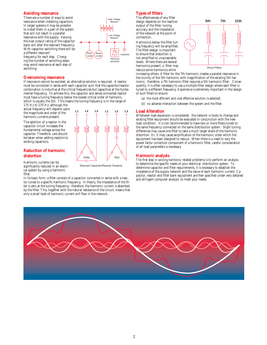#### **Avoiding resonance**

There are a number of ways to avoid resonance when installing capacitors. In larger systems it may be possible to install them in a part of the system that will not result in a parallel resonance with the supply. Varying the kvar output rating of the capacitor bank will alter the resonant frequency. With capacitor switching there will be a different resonant frequency for each step. Changing the number of switching steps

may avoid resonance at each step of switching.

#### **Overcoming resonance**

If resonance cannot be avoided, an alternative solution is required. A reactor must be connected in series with each capacitor such that the capacitor/reactor combination is inductive at the critical frequencies but capacitive at the fundamental frequency. To achieve this, the capacitor and series connected reactor must have a tuning frequency below the lowest critical order of harmonic,

Motor Loads Motor Loads

**L1 L2 L3 L1 L2 L3**

Detuned Capacitor/Reactor Systems Delta \| | | Wye

which is usually the 5th. This means the tuning frequency is in the range of 175 Hz to 270 Hz, although the

actual frequency will depend upon the magnitude and order of the harmonic currents present.

The addition of a reactor in the capacitor circuit increases the fundamental voltage across the capacitor. Therefore, care should be taken when adding reactors to existing capacitors.

#### **Reduction of harmonic distortion**

Harmonic currents can be significantly reduced in an electrical system by using a harmonic filter.

In its basic form, a filter consists of a capacitor connected in series with a reactor tuned to a specific harmonic frequency. In theory, the impedance of the filter is zero at the tuning frequency; therefore, the harmonic current is absorbed by the filter. This, together with the natural resistance of the circuit, means that only a small level of harmonic current will flow in the network.

#### **Types of filters**

Capacitor

High Voltage Network

Low Voltage **Network** 

> Harmonic generator

The effectiveness of any filter design de pends on the reactive output of the filter, tuning accuracy and the impedance of the net work at the point of connection.

Harmonics below the filter tuning frequency will be amplified. The filter design is important to ensure that distortion is not amplified to unacceptable levels. Where there are several harmonics present, a filter may reduce some harmonics while



increasing others. A filter for the 7th harmonic creates a parallel resonance in the vicinity of the 5th harmonic with magnification of the existing 5th harmonic; therefore, a 7th harmonic filter requires a 5th harmonic filter. Consequently, it is often necessary to use a multiple filter design where each filter is tuned to a different frequency. Experience is extremely important in the design of such filters to ensure:

- (a) the most efficient and cost effective solution is selected;
- (b) no adverse interaction between the system and the filter.

#### **Load Alteration**

Whenever load expansion is considered, the network is likely to change and existing filter equipment should be evaluated in conjunction with the new load condition. It is not recommended to have two or more filters tuned to the same frequency connected on the same distribution system. Slight tuning differences may cause one filter to take a much larger share of the harmonic distortion. Or, it may cause amplification of the harmonic order which the equip ment has been designed to reduce. When there is a need to vary the power factor correction component of a harmonic filter, careful consideration of all load parameters is necessary.

#### **Harmonic analysis**

The first step in solving harmonic related problems is to perform an analysis to determine the specific needs of your electrical distribution system. To determine capacitor and filter requirements, it is necessary to establish the impedance of the supply network and the value of each harmonic current. Capacitor, reactor and filter bank equipment are then specified under very detailed and stringent computer analysis to meet your needs.

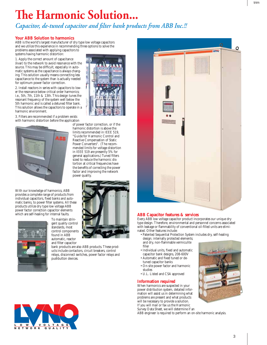## **The Harmonic Solution...**

*Capacitor, de-tuned capacitor and filter bank products from ABB Inc.!!* 

harmonic distortion is above the limits recommended in IEEE 519, "Guide for Harmonic Control and Reactive Compensation of Static Power Converters". (The recommended limits for voltage distortion in IEEE 519 are presently 5% for general applications.) Tuned filters sized to reduce the harmonic distortion at critical frequencies have the benefits of correcting the power factor and improving the network

#### **Your ABB Solution to harmonics**

ABB is the world's largest manufacturer of dry type low voltage capacitors and we utilize this experience in recommending three options to solve the problems associated with applying capacitors to systems having harmonic distortion:

1. Apply the correct amount of capacitance (kvar) to the network to avoid resonance with the source. This may be difficult, especially in automatic systems as the capacitance is always changing. This solution usually means connecting less capacitance to the system than is actually needed for optimum power factor correction.

2. Install reactors in series with capacitors to lower the resonance below critical order harmonics; i.e., 5th, 7th, 11th & 13th. This design tunes the resonant frequency of the system well below the 5th harmonic and is called a detuned filter bank. This solution allows the capacitors to operate in a harmonic environment.

3. Filters are recommended if a problem exists with harmonic distortion before the application of power factor correction, or if the



With our knowledge of harmonics, ABB provides a complete range of products from individual capacitors, fixed banks and automatic banks, to power filter systems. All these products utilize dry type low voltage ABB power factor correction capacitor elements which are self-healing for internal faults.



To maintain stringent quality control standards, most control components found in ABB automatic, reactor and filter capacitor



bank products are also ABB products. These products include contactors, circuit breakers, control relays, disconnect switches, power factor relays and pushbutton devices.

power quality.





#### **ABB Capacitor features & services**

Every ABB low voltage capacitor product incorporates our unique dry type design. Therefore, environmental and personnel concerns associated with leakage or flammability of conventional oil-filled units are eliminated. Other features include:

- Patented Sequential Protection System includes dry, self-healing design; internally protected elements; and dry, non-flammable vermiculite filler
- Individual units, fixed and automatic capacitor bank designs, 208-600V
- Automatic and fixed tuned or detuned capacitor banks
- On-site power factor and harmonic studies
- U.L. Listed and CSA approved

#### **Information required**

When harmonics are suspected in your power distribution system, detailed informa tion will assist us in determining what problems are present and what products will be necessary to provide a solution. If you will mail or fax us the Harmonic Survey Data Sheet, we will determine if an

ABB engineer is required to perform an on-site harmonic analysis.

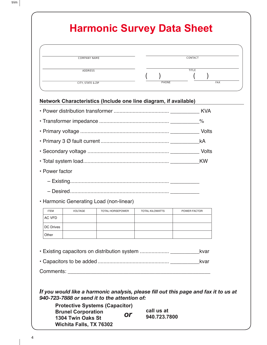### **Harmonic Survey Data Sheet**

| <b>COMPANY NAME</b>          | <b>CONTACT</b>             |
|------------------------------|----------------------------|
| <b>ADDRESS</b>               | <b>TITLE</b>               |
| <b>CITY, STATE &amp; ZIP</b> | <b>PHONE</b><br><b>FAX</b> |

#### **Network Characteristics (Include one line diagram, if available)**

|                                         | <b>KW</b> |
|-----------------------------------------|-----------|
| • Power factor                          |           |
|                                         |           |
|                                         |           |
| • Harmonic Generating Load (non-linear) |           |

| <b>ITEM</b>      | <b>VOLTAGE</b> | <b>TOTAL HORSEPOWER</b> | <b>TOTAL KILOWATTS</b> | POWER FACTOR |
|------------------|----------------|-------------------------|------------------------|--------------|
| AC VFD           |                |                         |                        |              |
| <b>DC Drives</b> |                |                         |                        |              |
| Other            |                |                         |                        |              |

• Existing capacitors on distribution system ......................\_\_\_\_\_\_\_\_\_\_\_\_\_kvar

|--|--|

Comments: **Example 20** 

*If you would like a harmonic analysis, please fill out this page and fax it to us at 940-723-7888 or send it to the attention of:* 

| <b>Protective Systems (Capacitor)</b> |    |              |
|---------------------------------------|----|--------------|
| <b>Brunel Corporation</b>             |    | call us at   |
| 1304 Twin Oaks St                     | or | 940.723.7800 |
| <b>Wichita Falls, TX 76302</b>        |    |              |